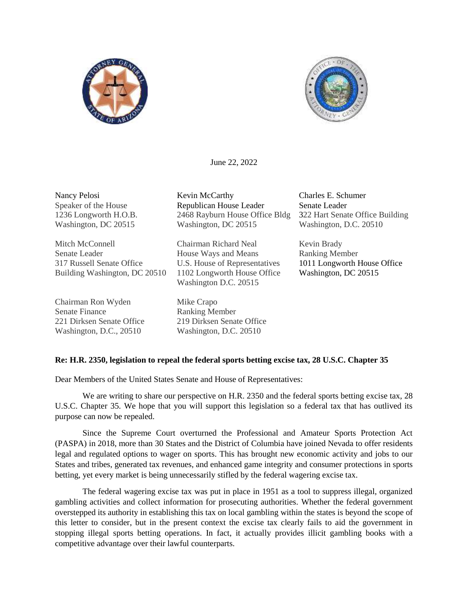



June 22, 2022

Nancy Pelosi Speaker of the House 1236 Longworth H.O.B. Washington, DC 20515

Mitch McConnell Senate Leader 317 Russell Senate Office Building Washington, DC 20510

Chairman Ron Wyden Senate Finance 221 Dirksen Senate Office Washington, D.C., 20510

Kevin McCarthy Republican House Leader 2468 Rayburn House Office Bldg Washington, DC 20515

Chairman Richard Neal House Ways and Means U.S. House of Representatives 1102 Longworth House Office Washington D.C. 20515

Mike Crapo Ranking Member 219 Dirksen Senate Office Washington, D.C. 20510

Charles E. Schumer Senate Leader 322 Hart Senate Office Building Washington, D.C. 20510

Kevin Brady Ranking Member 1011 Longworth House Office Washington, DC 20515

## **Re: H.R. 2350, legislation to repeal the federal sports betting excise tax, 28 U.S.C. Chapter 35**

Dear Members of the United States Senate and House of Representatives:

We are writing to share our perspective on H.R. 2350 and the federal sports betting excise tax, 28 U.S.C. Chapter 35. We hope that you will support this legislation so a federal tax that has outlived its purpose can now be repealed.

Since the Supreme Court overturned the Professional and Amateur Sports Protection Act (PASPA) in 2018, more than 30 States and the District of Columbia have joined Nevada to offer residents legal and regulated options to wager on sports. This has brought new economic activity and jobs to our States and tribes, generated tax revenues, and enhanced game integrity and consumer protections in sports betting, yet every market is being unnecessarily stifled by the federal wagering excise tax.

The federal wagering excise tax was put in place in 1951 as a tool to suppress illegal, organized gambling activities and collect information for prosecuting authorities. Whether the federal government overstepped its authority in establishing this tax on local gambling within the states is beyond the scope of this letter to consider, but in the present context the excise tax clearly fails to aid the government in stopping illegal sports betting operations. In fact, it actually provides illicit gambling books with a competitive advantage over their lawful counterparts.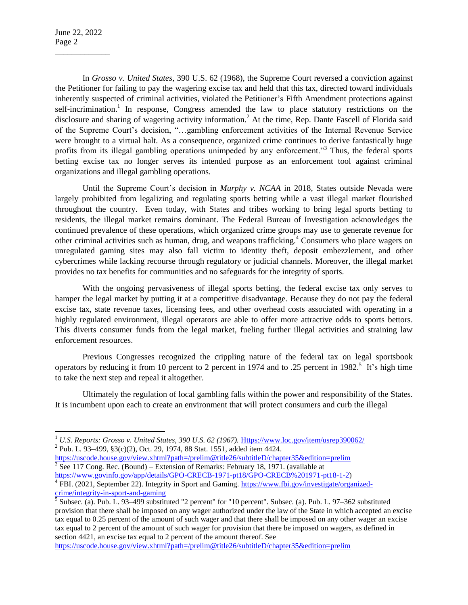$\overline{\phantom{a}}$ 

\_\_\_\_\_\_\_\_\_\_\_\_\_

In *Grosso v. United States,* 390 U.S. 62 (1968), the Supreme Court reversed a conviction against the Petitioner for failing to pay the wagering excise tax and held that this tax, directed toward individuals inherently suspected of criminal activities, violated the Petitioner's Fifth Amendment protections against self-incrimination.<sup>1</sup> In response, Congress amended the law to place statutory restrictions on the disclosure and sharing of wagering activity information.<sup>2</sup> At the time, Rep. Dante Fascell of Florida said of the Supreme Court's decision, "…gambling enforcement activities of the Internal Revenue Service were brought to a virtual halt. As a consequence, organized crime continues to derive fantastically huge profits from its illegal gambling operations unimpeded by any enforcement."<sup>3</sup> Thus, the federal sports betting excise tax no longer serves its intended purpose as an enforcement tool against criminal organizations and illegal gambling operations.

Until the Supreme Court's decision in *Murphy v. NCAA* in 2018, States outside Nevada were largely prohibited from legalizing and regulating sports betting while a vast illegal market flourished throughout the country. Even today, with States and tribes working to bring legal sports betting to residents*,* the illegal market remains dominant. The Federal Bureau of Investigation acknowledges the continued prevalence of these operations, which organized crime groups may use to generate revenue for other criminal activities such as human, drug, and weapons trafficking.<sup>4</sup> Consumers who place wagers on unregulated gaming sites may also fall victim to identity theft, deposit embezzlement, and other cybercrimes while lacking recourse through regulatory or judicial channels. Moreover, the illegal market provides no tax benefits for communities and no safeguards for the integrity of sports.

With the ongoing pervasiveness of illegal sports betting, the federal excise tax only serves to hamper the legal market by putting it at a competitive disadvantage. Because they do not pay the federal excise tax, state revenue taxes, licensing fees, and other overhead costs associated with operating in a highly regulated environment, illegal operators are able to offer more attractive odds to sports bettors. This diverts consumer funds from the legal market, fueling further illegal activities and straining law enforcement resources.

Previous Congresses recognized the crippling nature of the federal tax on legal sportsbook operators by reducing it from 10 percent to 2 percent in 1974 and to .25 percent in 1982.<sup>5</sup> It's high time to take the next step and repeal it altogether.

Ultimately the regulation of local gambling falls within the power and responsibility of the States. It is incumbent upon each to create an environment that will protect consumers and curb the illegal

<sup>2</sup> Pub. L. 93–499, [§3\(c\)\(2\), Oct. 29, 1974,](https://uscode.house.gov/statviewer.htm?volume=88&page=1551) 88 Stat. 1551, added item 4424.

<https://uscode.house.gov/view.xhtml?path=/prelim@title26/subtitleD/chapter35&edition=prelim>  $3 \text{ See } 117 \text{ Cong. Rec. (Bound) - Extension of Remarks: February 18, 1971. (available at$ [https://www.govinfo.gov/app/details/GPO-CRECB-1971-pt18/GPO-CRECB%201971-pt18-1-2\)](https://www.govinfo.gov/app/details/GPO-CRECB-1971-pt18/GPO-CRECB%201971-pt18-1-2)

<https://uscode.house.gov/view.xhtml?path=/prelim@title26/subtitleD/chapter35&edition=prelim>

<sup>&</sup>lt;sup>1</sup> U.S. Reports: Grosso v. United States, 390 U.S. 62 (1967). [Https://www.loc.gov/item/usrep390062/](https://www.loc.gov/item/usrep390062/)

<sup>&</sup>lt;sup>4</sup> FBI. (2021, September 22). Integrity in Sport and Gaming. [https://www.fbi.gov/investigate/organized-](https://www.fbi.gov/investigate/organized-crime/integrity-in-sport-and-gaming)

[crime/integrity-in-sport-and-gaming](https://www.fbi.gov/investigate/organized-crime/integrity-in-sport-and-gaming)<br><sup>5</sup> Subsec. (a). Pub. L. 93–499 substituted "2 percent" for "10 percent". Subsec. (a). Pub. L. 97–362 substituted provision that there shall be imposed on any wager authorized under the law of the State in which accepted an excise tax equal to 0.25 percent of the amount of such wager and that there shall be imposed on any other wager an excise tax equal to 2 percent of the amount of such wager for provision that there be imposed on wagers, as defined in section 4421, an excise tax equal to 2 percent of the amount thereof. See